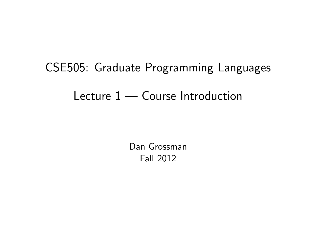# CSE505: Graduate Programming Languages Lecture 1 — Course Introduction

<span id="page-0-0"></span>Dan Grossman Fall 2012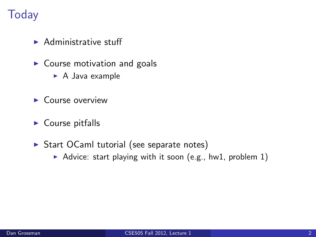# **Today**

- $\blacktriangleright$  Administrative stuff
- $\triangleright$  Course motivation and goals
	- $\triangleright$  A Java example
- $\blacktriangleright$  Course overview
- $\blacktriangleright$  Course pitfalls
- $\triangleright$  Start OCaml tutorial (see separate notes)
	- Advice: start playing with it soon (e.g., hw1, problem  $1$ )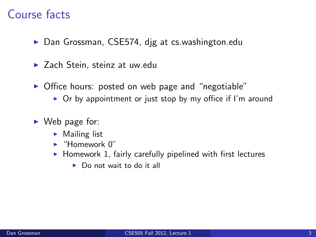# Course facts

- ▶ Dan Grossman, CSE574, dig at cs.washington.edu
- $\blacktriangleright$  Zach Stein, steinz at uw.edu
- $\triangleright$  Office hours: posted on web page and "negotiable"
	- $\triangleright$  Or by appointment or just stop by my office if I'm around
- $\triangleright$  Web page for:
	- $\blacktriangleright$  Mailing list
	- $\blacktriangleright$  "Homework 0"
	- $\blacktriangleright$  Homework 1, fairly carefully pipelined with first lectures
		- $\triangleright$  Do not wait to do it all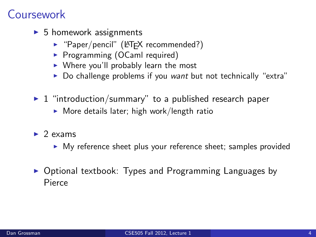# Coursework

- $\triangleright$  5 homework assignments
	- $\blacktriangleright$  "Paper/pencil" (LAT<sub>E</sub>X recommended?)
	- **Programming (OCaml required)**
	- $\triangleright$  Where you'll probably learn the most
	- $\triangleright$  Do challenge problems if you want but not technically "extra"
- $\blacktriangleright$  1 "introduction/summary" to a published research paper
	- $\triangleright$  More details later; high work/length ratio
- $\blacktriangleright$  2 exams
	- $\triangleright$  My reference sheet plus your reference sheet; samples provided
- $\triangleright$  Optional textbook: Types and Programming Languages by Pierce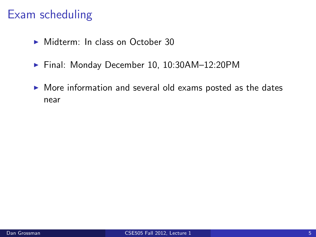## Exam scheduling

- $\triangleright$  Midterm: In class on October 30
- ► Final: Monday December 10, 10:30AM-12:20PM
- $\triangleright$  More information and several old exams posted as the dates near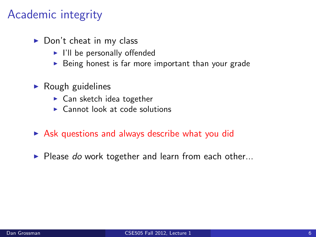# Academic integrity

- $\triangleright$  Don't cheat in my class
	- $\blacktriangleright$  I'll be personally offended
	- $\triangleright$  Being honest is far more important than your grade
- $\blacktriangleright$  Rough guidelines
	- $\blacktriangleright$  Can sketch idea together
	- $\triangleright$  Cannot look at code solutions
- $\triangleright$  Ask questions and always describe what you did
- $\blacktriangleright$  Please do work together and learn from each other...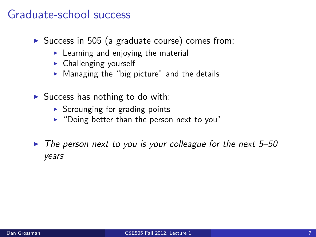#### Graduate-school success

- $\triangleright$  Success in 505 (a graduate course) comes from:
	- $\blacktriangleright$  Learning and enjoying the material
	- $\blacktriangleright$  Challenging yourself
	- $\triangleright$  Managing the "big picture" and the details
- $\triangleright$  Success has nothing to do with:
	- $\triangleright$  Scrounging for grading points
	- $\triangleright$  "Doing better than the person next to you"
- $\triangleright$  The person next to you is your colleague for the next 5–50 years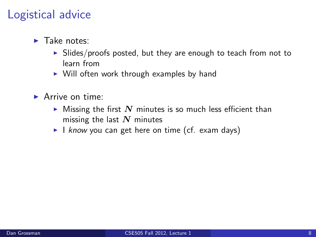#### Logistical advice

- $\blacktriangleright$  Take notes:
	- $\triangleright$  Slides/proofs posted, but they are enough to teach from not to learn from
	- $\triangleright$  Will often work through examples by hand
- $\blacktriangleright$  Arrive on time:
	- $\blacktriangleright$  Missing the first  $N$  minutes is so much less efficient than missing the last  $N$  minutes
	- I know you can get here on time (cf. exam days)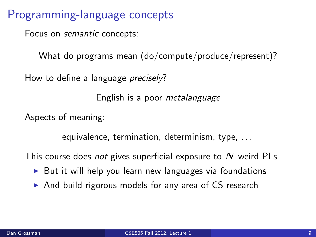Programming-language concepts

Focus on semantic concepts:

What do programs mean (do/compute/produce/represent)?

How to define a language *precisely*?

English is a poor metalanguage

Aspects of meaning:

equivalence, termination, determinism, type, . . .

This course does not gives superficial exposure to  $N$  weird PLs

- $\triangleright$  But it will help you learn new languages via foundations
- $\triangleright$  And build rigorous models for any area of CS research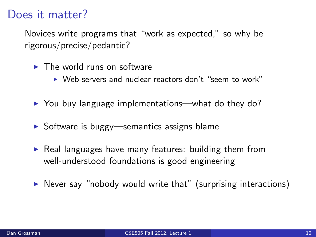#### Does it matter?

Novices write programs that "work as expected," so why be rigorous/precise/pedantic?

- $\blacktriangleright$  The world runs on software
	- $\triangleright$  Web-servers and nuclear reactors don't "seem to work"
- $\triangleright$  You buy language implementations—what do they do?
- $\triangleright$  Software is buggy—semantics assigns blame
- $\triangleright$  Real languages have many features: building them from well-understood foundations is good engineering
- $\triangleright$  Never say "nobody would write that" (surprising interactions)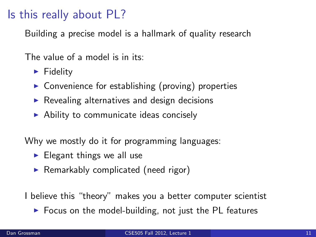# Is this really about PL?

Building a precise model is a hallmark of quality research

The value of a model is in its:

- $\blacktriangleright$  Fidelity
- $\triangleright$  Convenience for establishing (proving) properties
- $\triangleright$  Revealing alternatives and design decisions
- $\triangleright$  Ability to communicate ideas concisely

Why we mostly do it for programming languages:

- $\blacktriangleright$  Elegant things we all use
- $\blacktriangleright$  Remarkably complicated (need rigor)

I believe this "theory" makes you a better computer scientist

 $\triangleright$  Focus on the model-building, not just the PL features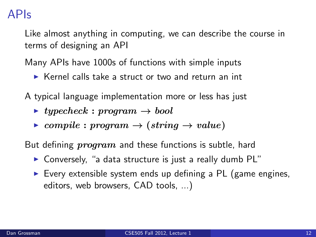## APIs

Like almost anything in computing, we can describe the course in terms of designing an API

Many APIs have 1000s of functions with simple inputs

 $\triangleright$  Kernel calls take a struct or two and return an int

A typical language implementation more or less has just

- $\rightarrow$  typecheck : program  $\rightarrow$  bool
- $\triangleright$  compile : program  $\rightarrow$  (string  $\rightarrow$  value)

But defining  $program$  and these functions is subtle, hard

- $\triangleright$  Conversely, "a data structure is just a really dumb PL"
- $\triangleright$  Every extensible system ends up defining a PL (game engines, editors, web browsers, CAD tools, ...)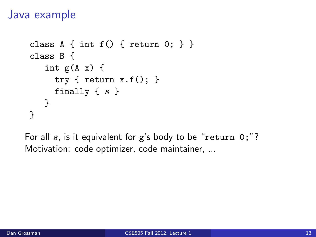#### Java example

```
class A { int f() { return 0; } }
class B {
   int g(A x) {
     try { return x.f(); }
     finally \{ s \}}
}
```
For all  $s$ , is it equivalent for  $g$ 's body to be "return  $0$ ;"? Motivation: code optimizer, code maintainer, ...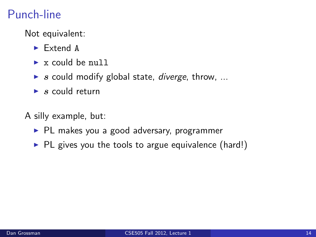# Punch-line

Not equivalent:

- $\blacktriangleright$  Extend A
- $\triangleright$  x could be null
- $\triangleright$  s could modify global state, *diverge*, throw, ...
- $\blacktriangleright$  s could return
- A silly example, but:
	- $\blacktriangleright$  PL makes you a good adversary, programmer
	- $\blacktriangleright$  PL gives you the tools to argue equivalence (hard!)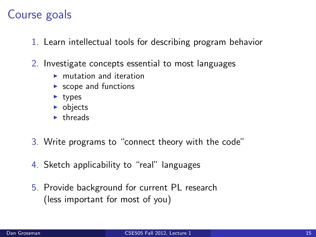## Course goals

- 1. Learn intellectual tools for describing program behavior
- 2. Investigate concepts essential to most languages
	- $\blacktriangleright$  mutation and iteration
	- $\blacktriangleright$  scope and functions
	- $\blacktriangleright$  types
	- $\triangleright$  objects
	- $\blacktriangleright$  threads
- 3. Write programs to "connect theory with the code"
- 4. Sketch applicability to "real" languages
- 5. Provide background for current PL research (less important for most of you)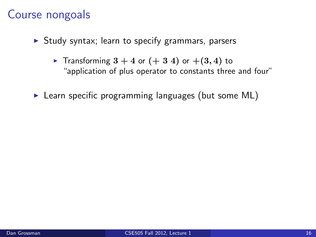#### Course nongoals

- $\triangleright$  Study syntax; learn to specify grammars, parsers
	- Fransforming  $3 + 4$  or  $(+ 3 4)$  or  $+(3, 4)$  to "application of plus operator to constants three and four"
- $\blacktriangleright$  Learn specific programming languages (but some ML)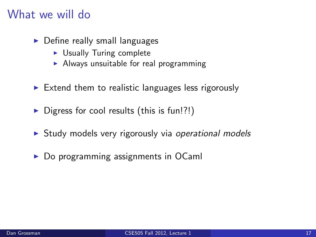#### What we will do

- $\triangleright$  Define really small languages
	- $\triangleright$  Usually Turing complete
	- $\blacktriangleright$  Always unsuitable for real programming
- $\triangleright$  Extend them to realistic languages less rigorously
- $\triangleright$  Digress for cool results (this is fun!?!)
- $\triangleright$  Study models very rigorously via operational models
- $\triangleright$  Do programming assignments in OCaml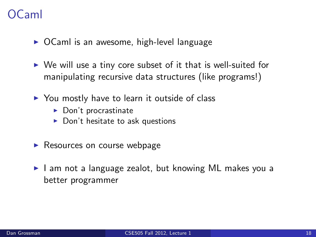# $C<sub>2</sub>ml$

- $\triangleright$  OCaml is an awesome, high-level language
- $\triangleright$  We will use a tiny core subset of it that is well-suited for manipulating recursive data structures (like programs!)
- $\triangleright$  You mostly have to learn it outside of class
	- $\blacktriangleright$  Don't procrastinate
	- $\blacktriangleright$  Don't hesitate to ask questions
- $\blacktriangleright$  Resources on course webpage
- $\blacktriangleright$  I am not a language zealot, but knowing ML makes you a better programmer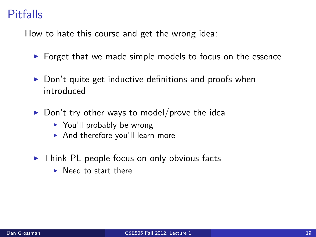# **Pitfalls**

How to hate this course and get the wrong idea:

- $\triangleright$  Forget that we made simple models to focus on the essence
- $\triangleright$  Don't quite get inductive definitions and proofs when introduced
- $\triangleright$  Don't try other ways to model/prove the idea
	- $\blacktriangleright$  You'll probably be wrong
	- $\blacktriangleright$  And therefore you'll learn more
- $\triangleright$  Think PL people focus on only obvious facts
	- $\blacktriangleright$  Need to start there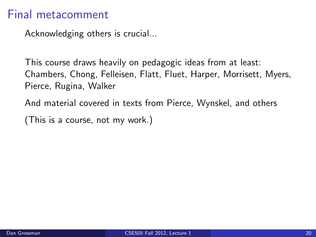#### Final metacomment

Acknowledging others is crucial...

This course draws heavily on pedagogic ideas from at least: Chambers, Chong, Felleisen, Flatt, Fluet, Harper, Morrisett, Myers, Pierce, Rugina, Walker

And material covered in texts from Pierce, Wynskel, and others

(This is a course, not my work.)